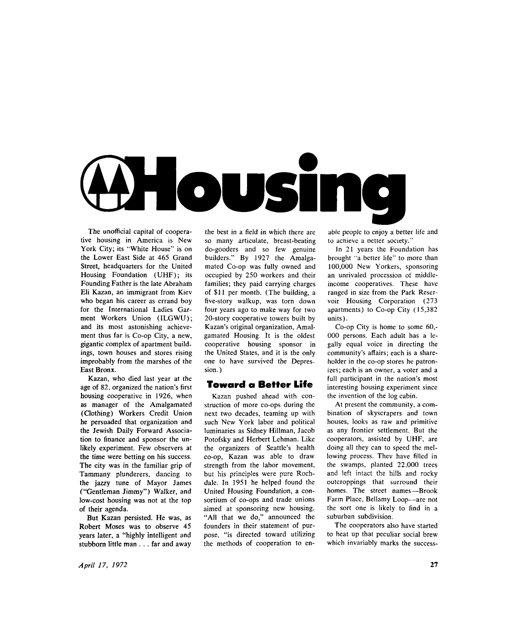

The unofficial capital of cooperative housing in America is New York City; its "White House" is on the Lower East Side at 465 Grand Street, headquarters for the United Housing Foundation (UHF); its Founding Father is the late Abraham Eli Kazan, an immigrant from Kiev who began his career as errand boy for the International Ladies Garment Workers Union (ILGWU) ; and its most astonishing achievement thus far is Co-op City, a new, gigantic complex of apartment buildings, town houses and stores rising improbably from the marshes of the East Bronx.

Kazan, who died last year at the age of 82, organized the nation's first housing cooperative in 1926, when as manager of the Amalgamated (Clothing) Workers Credit Union he persuaded that organization and the Jewish Daily Forward Association to finance and sponsor the unlikely experiment. Few observers at the time were betting on his success. The city was in the familiar grip of Tammany plunderers, dancing to the jazzy tune of Mayor James ("Gentleman Jimmy") Walker, and low-cost housing was not at the top of their agenda.

But Kazan persisted. He was, as Robert Moses was to observe 45 years later, a "highly intelligent and stubborn little man .. . far and away the best in a field in which there are so many articulate, breast-beating do-gooders and so few genuine builders." By 1927 the Amalgamated Co-op was fully owned and occupied by 250 workers and their families; they paid carrying charges of \$11 per month. (The building, a five-story walkup, was torn down four years ago to make way for two 20-story cooperative towers built by Kazan's original organization, Amalgamated Housing. It is the oldest cooperative housing sponsor in the United States, and it is the only one to have survived the Depression.)

#### Toward a Better Life

Kazan pushed ahead with construction of more co-ops during the next two decades, teaming up with such New York labor and political luminaries as Sidney Hillman, Jacob Potofsky and Herbert Lehman. Like the organizers of Seattle's health co-op, Kazan was able to draw strength from the labor movement, but his principles were pure Rochdale. In 1951 he helped found the United Housing Foundation, a consortium of co-ops and trade unions aimed at sponsoring new housing. "All that we do," announced the founders in their statement of purpose, "is directed toward utilizing the methods of cooperation to enable people to enjoy a better life and to achieve a oetter society."

In 21 years the Foundation has brought "a better life" to more than 100,000 New Yorkers, sponsoring an unrivaled procession of middleincome cooperatives. These have ranged in size from the Park Reservoir Housing Corporation (273 apartments) to Co-op City (15,382 units).

Co-op City is home to some 60,- 000 persons. Each adult has a legally equal voice in directing the community's affairs; each is a shareholder in the co-op stores he patronizes; each is an owner, a voter and a full participant in the nation's most interesting housing experiment since the invention of the log cabin.

At present the community, a combination of skyscrapers and town houses, looks as raw and primitive as any frontier settlement. But the cooperators, assisted by UHF, are doing all they can to speed the mellowing process. Thev have filled in the swamps, planted 22,000 trees and left intact the hills and rocky outcroppings that surround their homes. The street names—Brook Farm Place, Bellamy Loop—are not the sort one is likely to find in a suburban subdivision.

The cooperators also have started to heat up that peculiar social brew which invariably marks the success-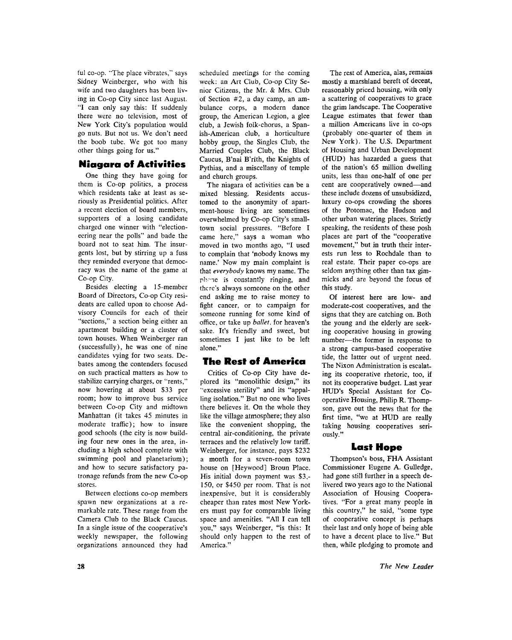ful co-op. "The place vibrates," says Sidney Weinberger, who with his wife and two daughters has been living in Co-op City since last August. "I can only say this: If suddenly there were no television, most of New York City's population would go nuts. But not us. We don't need the boob tube. We got too many other things going for us."

## **Niagara of Activities**

One thing they have going for them is Co-op politics, a process which residents take at least as seriously as Presidential politics. After a recent election of board members, supporters of a losing candidate charged one winner with "electioneering near the polls" and bade the board not to seat him. The insurgents lost, but by stirring up a fuss they reminded everyone that democracy was the name of the game at Co-op City.

Besides electing a 15-member Board of Directors, Co-op City residents are called upon to choose Ad visory Councils for each of their "sections," a section being either an apartment building or a cluster of town houses. When Weinberger ran (successfully), he was one of nine candidates vying for two seats. Debates among the contenders focused on such practical matters as how to stabilize carrying charges, or "rents," now hovering at about \$33 per room; how to improve bus service between Co-op City and midtown Manhattan (it takes 45 minutes in moderate traffic); how to insure good schools (the city is now building four new ones in the area, including a high school complete with swimming pool and planetarium); and how to secure satisfactory patronage refunds from the new Co-op stores.

Between elections co-op members spawn new organizations at a remarkable rate. These range from the Camera Club to the Black Caucus. In a single issue of the cooperative's weekly newspaper, the following organizations announced they had scheduled meetings for the coming week: an Art Club, Co-op City Senior Citizens, the Mr. & Mrs. Club of Section #2, a day camp, an ambulance corps, a modern dance group, the American Legion, a glee club, a Jewish folk-chorus, a Spanish-American club, a horticulture hobby group, the Singles Club, the Married Couples Club, the Black Caucus, B'nai B'rith, the Knights of Pythias, and a miscellany of temple and church groups.

The niagara of activities can be a mixed blessing. Residents accustomed to the anonymity of apartment-house living are sometimes overwhelmed by Co-op City's smalltown social pressures. "Before I came here," says a woman who moved in two months ago, "I used to complain that 'nobody knows my name.' Now my main complaint is that *everybody* knows my name. The phone is constantly ringing, and there's always someone on the other end asking me to raise money to fight cancer, or to campaign for someone running for some kind of office, or take up *ballet,* for heaven's sake. It's friendly and sweet, but sometimes I just like to be left alone."

# The Rest of America

Critics of Co-op City have deplored its "monolithic design," its "excessive sterility" and its "appalling isolation." But no one who lives there believes it. On the whole they like the village atmosphere; they also like the convenient shopping, the central air-conditioning, the private terraces and the relatively low tariff. Weinberger, for instance, pays \$232 a month for a seven-room town house on [Heywood] Broun Place. His initial down payment was \$3,- 150, or \$450 per room. That is not inexpensive, but it is considerably cheaper than rates most New Yorkers must pay for comparable living space and amenities. "All I can tell you," says Weinberger, "is this: It should only happen to the rest of America."

The rest of America, alas, remains mostly a marshland bereft of decent, reasonably priced housing, with only a scattering of cooperatives to grace the grim landscape. The Cooperative League estimates that fewer than a million Americans live in co-ops (probably one-quarter of them in New York). The U.S. Department of Housing and Urban Development (HUD) has hazarded a guess that of the nation's 65 million dwelling units, less than one-half of one per cent are cooperatively owned—and these include dozens of unsubsidized, luxury co-ops crowding the shores of the Potomac, the Hudson and other urban watering places. Strictly speaking, the residents of these posh places are part of the "cooperative movement," but in truth their interests run less to Rochdale than to real estate. Their paper co-ops are seldom anything other than tax gimmicks and are beyond the focus of this study.

Of interest here are low- and moderate-cost cooperatives, and the signs that they are catching on. Both the young and the elderly are seeking cooperative housing in growing number—the former in response to a strong campus-based cooperative tide, the latter out of urgent need. The Nixon Administration is escalating its cooperative rhetoric, too, if not its cooperative budget. Last year HUD's Special Assistant for Cooperative Housing, Philip R. Thompson, gave out the news that for the first time, "we at HUD are really taking housing cooperatives seriously."

#### Last Hope

Thompson's boss, FHA Assistant Commissioner Eugene A. Gulledge, had gone still further in a speech delivered two years ago to the National Association of Housing Cooperatives. "For a great many people in this country," he said, "some type of cooperative concept is perhaps their last and only hope of being able to have a decent place to live." But then, while pledging to promote and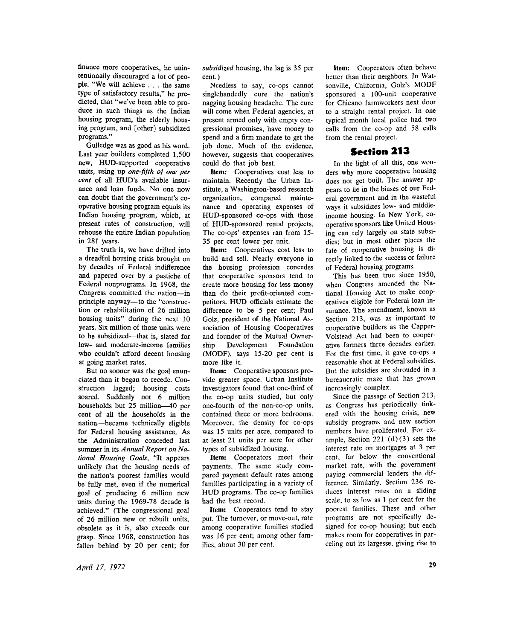finance more cooperatives, he unintentionally discouraged a lot of people. "We will achieve .. . the same type of satisfactory results," he predicted, that "we've been able to produce in such things as the Indian housing program, the elderly housing program, and [other] subsidized programs."

Gulledge was as good as his word. Last year builders completed 1,500 new, HUD-supported cooperative units, using up *one-fifth of one per cent* of all HUD's available insurance and loan funds. No one now can doubt that the government's cooperative housing program equals its Indian housing program, which, at present rates of construction, will rehouse the entire Indian population in 281 years.

The truth is, we have drifted into a dreadful housing crisis brought on by decades of Federal indifference and papered over by a pastiche of Federal nonprograms. In 1968, the Congress committed the nation—in principle anyway—to the "construction or rehabilitation of 26 million housing units" during the next 10 years. Six million of those units were to be subsidized—that is, slated for low- and moderate-income families who couldn't afford decent housing at going market rates.

But no sooner was the goal enunciated than it began to recede. Construction lagged; housing costs soared. Suddenly not 6 million households but 25 million—40 per cent of all the households in the nation—became technically eligible for Federal housing assistance. As the Administration conceded last summer in its *Annual Report on National Housing Goals,* "It appears unlikely that the housing needs of the nation's poorest families would be fully met, even if the numerical goal of producing 6 million new units during the 1969-78 decade is achieved." (The congressional goal of 26 million new or rebuilt units, obsolete as it is, also exceeds our grasp. Since 1968, construction has fallen behind by 20 per cent; for

*subsidized* housing, the lag is 35 per cent.)

Needless to say, co-ops cannot singlehandedly cure the nation's nagging housing headache. The cure will come when Federal agencies, at present armed only with empty congressional promises, have money to spend and a firm mandate to get the job done. Much of the evidence, however, suggests that cooperatives could do that job best.

**Item:** Cooperatives cost less to maintain. Recently the Urban Institute, a Washington-based research organization, compared maintenance and operating expenses of HUD-sponsored co-ops with those of HUD-sponsored rental projects. The co-ops' expenses ran from 15- 35 per cent lower per unit.

**Item:** Cooperatives cost less to build and sell. Nearly everyone in the housing profession concedes that cooperative sponsors tend to create more housing for less money than do their profit-oriented competitors. HUD officials estimate the difference to be 5 per cent; Paul Golz, president of the National Association of Housing Cooperatives and founder of the Mutual Ownership Development Foundation (MODF), says 15-20 per cent is more like it.

**Item:** Cooperative sponsors provide greater space. Urban Institute investigators found that one-third of the co-op units studied, but only one-fourth of the non-co-op units, contained three or more bedrooms. Moreover, the density for co-ops was 15 units per acre, compared to at least 21 units per acre for other types of subsidized housing.

**Item:** Cooperators meet their payments. The same study compared payment default rates among families participating in a variety of HUD programs. The co-op families had the best record.

**Item:** Cooperators tend to stay put. The turnover, or move-out, rate among cooperative families studied was 16 per cent; among other families, about 30 per cent.

**Item:** Cooperators often behave better than their neighbors. In Watsonville, California, Golz's MODF sponsored a 100-unit cooperative for Chicano farmworkers next door to a straight rental project. In one typical month local police had two calls from the co-op and 58 calls from the rental project.

## Section 213

In the light of all this, one wonders why more cooperative housing does not get built. The answer appears to lie in the biases of our Federal government and in the wasteful ways it subsidizes low- and middleincome housing. In New York, cooperative sponsors like United Housing can rely largely on state subsidies; but in most other places the fate of cooperative housing is directly linked to the success or failure of Federal housing programs.

This has been true since 1950, when Congress amended the Na tional Housing Act to make cooperatives eligible for Federal loan insurance. The amendment, known as Section 213, was as important to cooperative builders as the Capper-Volstead Act had been to cooperative farmers three decades earlier. For the first time, it gave co-ops a reasonable shot at Federal subsidies. But the subsidies are shrouded in a bureaucratic maze that has grown increasingly complex.

Since the passage of Section 213, as Congress has periodically tinkered with the housing crisis, new subsidy programs and new section numbers have proliferated. For example, Section 221 (d)(3) sets the interest rate on mortgages at 3 per cent, far below the conventional market rate, with the government paying commercial lenders the difference. Similarly, Section 236 reduces interest rates on a sliding scale, to as low as 1 per cent for the poorest families. These and other programs are not specifically designed for co-op housing; but each makes room for cooperatives in parceling out its largesse, giving rise to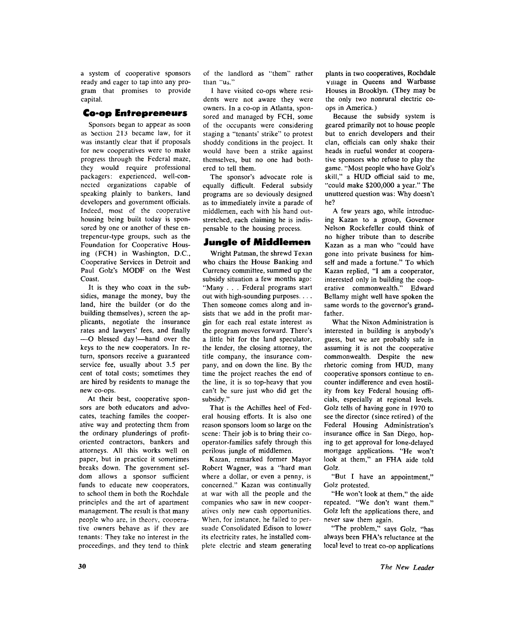a system of cooperative sponsors ready and eager to tap into any program that promises to provide capital.

#### Co-op Entrepreneurs

Sponsors began to appear as soon as Section 213 became law, for it was instantly clear that if proposals for new cooperatives were to make progress through the Federal maze, they would require professional packagers: experienced, well-connected organizations capable of speaking plainly to bankers, land developers and government officials. Indeed, most of the cooperative housing being built today is sponsored by one or another of these entrepeneur-type groups, such as the Foundation for Cooperative Housing (FCH) in Washington, D.C., Cooperative Services in Detroit and Paul Golz's MODF on the West Coast.

It is they who coax in the subsidies, manage the money, buy the land, hire the builder (or do the building themselves), screen the applicants, negotiate the insurance rates and lawyers' fees, and finally — O blessed day !—hand over the keys to the new cooperators. In return, sponsors receive a guaranteed service fee, usually about 3.5 per cent of total costs; sometimes they are hired by residents to manage the new co-ops.

At their best, cooperative sponsors are both educators and advocates, teaching familes the cooperative way and protecting them from the ordinary plunderings of profitoriented contractors, bankers and attorneys. All this works well on paper, but in practice it sometimes breaks down. The government seldom allows a sponsor sufficient funds to educate new cooperators, to school them in both the Rochdale principles and the art of apartment management. The result is that many people who are, in theory, cooperative owners behave as if thev are tenants: They take no interest in the proceedings, and they tend to think

of the landlord as "them" rather than "us."

I have visited co-ops where residents were not aware they were owners. In a co-op in Atlanta, sponsored and managed by FCH, some of the occupants were considering staging a "tenants' strike" to protest shoddy conditions in the project. It would have been a strike against themselves, but no one had bothered to tell them.

The sponsor's advocate role is equally difficult. Federal subsidy programs are so deviously designed as to immediately invite a parade of middlemen, each with his hand outstretched, each claiming he is indispensable to the housing process.

## Jungle of Middlemen

Wright Patman, the shrewd Texan who chairs the House Banking and Currency committee, summed up the subsidy situation a few months ago: "Many . . . Federal programs start out with high-sounding purposes. . . . Then someone comes along and insists that we add in the profit margin for each real estate interest as the program moves forward. There's a little bit for the land speculator, the lender, the closing attorney, the title company, the insurance company, and on down the line. By the time the project reaches the end of the line, it is so top-heavy that you can't be sure just who did get the subsidy."

That is the Achilles heel of Federal housing efforts. It is also one reason sponsors loom so large on the scene: Their job is to bring their cooperator-families safely through this perilous jungle of middlemen.

Kazan, remarked former Mayor Robert Wagner, was a "hard man where a dollar, or even a penny, is concerned." Kazan was continually at war with all the people and the companies who saw in new cooperatives only new cash opportunities. When, for instance, he failed to persuade Consolidated Edison to lower its electricity rates, he installed complete electric and steam generating plants in two cooperatives, Rochdale Village in Queens and Warbasse Houses in Brooklyn. (They may be the only two nonrural electric coops in America.)

Because the subsidy system is geared primarily not to house people but to enrich developers and their clan, officials can only shake their heads in rueful wonder at cooperative sponsors who refuse to play the game. "Most people who have Golz's skill," a HUD official said to me, "could make \$200,000 a year." The unuttered question was: Why doesn't he?

A few years ago, while introducing Kazan to a group, Governor Nelson Rockefeller could think of no higher tribute than to describe Kazan as a man who "could have gone into private business for himself and made a fortune." To which Kazan replied, "I am a cooperator, interested only in building the cooperative commonwealth." Edward Bellamy might well have spoken the same words to the governor's grandfather.

What the Nixon Administration is interested in building is anybody's guess, but we are probably safe in assuming it is not the cooperative commonwealth. Despite the new rhetoric coming from HUD, many cooperative sponsors continue to encounter indifference and even hostility from key Federal housing officials, especially at regional levels. Golz tells of having gone in 1970 to see the director (since retired) of the Federal Housing Administration's insurance office in San Diego, hoping to get approval for lone-delayed mortgage applications. "He won't look at them," an FHA aide told Golz.

"But I have an appointment," Golz protested.

"He won't look at them," the aide repeated. "We don't want them." Golz left the applications there, and never saw them again.

"The problem," says Golz, "has always been FHA's reluctance at the local level to treat co-op applications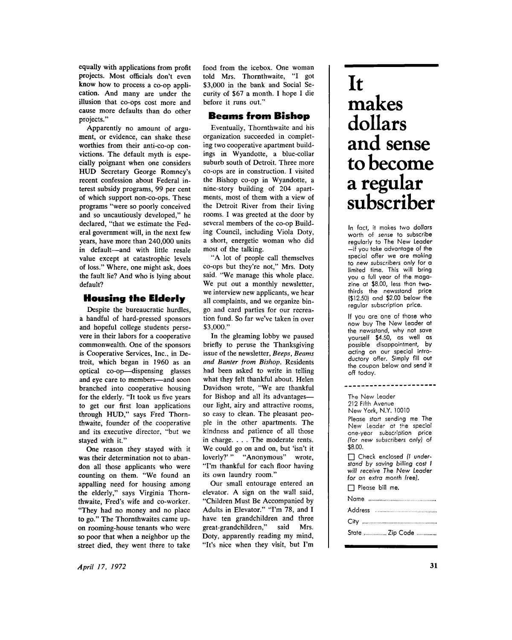equally with applications from profit projects. Most officials don't even know how to process a co-op application. And many are under the illusion that co-ops cost more and cause more defaults than do other projects."

Apparently no amount of argument, or evidence, can shake these worthies from their anti-co-op convictions. The default myth is especially poignant when one considers HUD Secretary George Romney's recent confession about Federal interest subsidy programs, 99 per cent of which support non-co-ops. These programs "were so poorly conceived and so uncautiously developed," he declared, "that we estimate the Federal government will, in the next few years, have more than 240,000 units in default—and with little resale value except at catastrophic levels of loss." Where, one might ask, does the fault lie? And who is lying about default?

#### **Housing the Elderly**

Despite the bureaucratic hurdles, a handful of hard-pressed sponsors and hopeful college students persevere in their labors for a cooperative commonwealth. One of the sponsors is Cooperative Services, Inc., in Detroit, which began in 1960 as an optical co-op—dispensing glasses and eye care to members—and soon branched into cooperative housing for the elderly. "It took us five years to get our first loan applications through HUD," says Fred Thornthwaite, founder of the cooperative and its executive director, "but we stayed with it."

One reason they stayed with it was their determination not to abandon all those applicants who were counting on them. "We found an appalling need for housing among the elderly," says Virginia Thornthwaite, Fred's wife and co-worker. "They had no money and no place to go." The Thornthwaites came upon rooming-house tenants who were so poor that when a neighbor up the street died, they went there to take

food from the icebox. One woman told Mrs. Thornthwaite, "I got \$3,000 in the bank and Social Security of \$67 a month. I hope I die before it runs out."

#### **Beams from Bishop**

Eventually, Thornthwaite and his organization succeeded in completing two cooperative apartment buildings in Wyandotte, a blue-collar suburb south of Detroit. Three more co-ops are in construction. I visited the Bishop co-op in Wyandotte, a nine-story building of 204 apartments, most of them with a view of the Detroit River from their living rooms. I was greeted at the door by several members of the co-op Building Council, including Viola Doty, a short, energetic woman who did most of the talking.

"A lot of people call themselves co-ops but they're not," Mrs. Doty said. "We manage this whole place. We put out a monthly newsletter, we interview new applicants, we hear all complaints, and we organize bingo and card parties for our recreation fund. So far we've taken in over \$3,000."

In the gleaming lobby we paused briefly to peruse the Thanksgiving issue of the newsletter, *Beeps, Beams and Banter from Bishop.* Residents had been asked to write in telling what they felt thankful about. Helen Davidson wrote, "We are thankful for Bishop and all its advantages our light, airy and attractive rooms, so easy to clean. The pleasant people in the other apartments. The kindness and patience of all those in charge. . . . The moderate rents. We could go on and on, but 'isn't it loverly?' " "Anonymous" wrote, "I'm thankful for each floor having its own laundry room."

Our small entourage entered an elevator. A sign on the wall said, "Children Must Be Accompanied by Adults in Elevator." "I'm 78, and I have ten grandchildren and three great-grandchildren," said Mrs. Doty, apparently reading my mind, "It's nice when they visit, but I'm

# **It makes dollars and sense to become a regular subscriber**

In fact, it makes two dollars worth of sense to subscribe regularly to The New Leader  $-i\bar{f}$  you take advantage of the special offer we are making to new subscribers only for a limited time. This will bring you a full year of the magazine at \$8.00, less than twothirds the newsstand price (\$12.50) and \$2.00 below the regular subscription price.

If you are one of those who now buy The New Leader at the newsstand, why not save yourself \$4.50, as well as possible disappointment, by acting on our special introductory offer. Simply fill out the coupon below and send it off today .

\_\_\_\_\_\_\_\_\_\_\_\_\_\_\_\_\_\_\_\_\_\_\_

The New leader 212 Fifth Avenue New York, N.Y. 10010 Please start sending me The New Leader at the special one-year subscription price (for new subscribers only) of \$8.00 .  $\Box$  Check enclosed *(I under*stand by saving billing cost I

*will receive The New Leader lor an extra month free}.* 

 $\Box$  Please bill me.

Nam e Addres s

Cit y State ................ Zip Code ..............